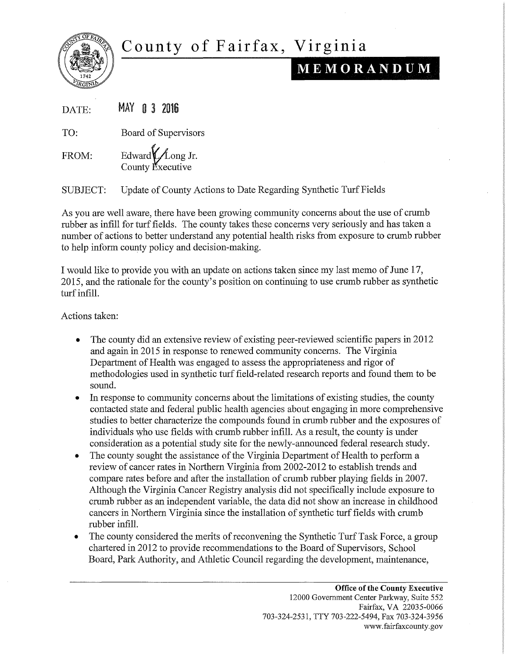

## County of Fairfax, Virginia

## MEMORANDUM

| DATE: |  |  |  | MAY 0 3 2016 |
|-------|--|--|--|--------------|
|-------|--|--|--|--------------|

TO: Board of Supervisors

FROM: Edward Long Jr. County Executive

SUBJECT: Update of County Actions to Date Regarding Synthetic Turf Fields

As you are well aware, there have been growing community concerns about the use of crumb rubber as infill for turf fields. The county takes these concerns very seriously and has taken a number of actions to better understand any potential health risks from exposure to crumb rubber to help inform county policy and decision-making.

I would like to provide you with an update on actions taken since my last memo of June 17, 2015, and the rationale for the county's position on continuing to use crumb rubber as synthetic turf infill.

Actions taken:

- The county did an extensive review of existing peer-reviewed scientific papers in 2012 and again in 2015 in response to renewed community concerns. The Virginia Department of Health was engaged to assess the appropriateness and rigor of methodologies used in synthetic turf field-related research reports and found them to be sound.
- In response to community concerns about the limitations of existing studies, the county contacted state and federal public health agencies about engaging in more comprehensive studies to better characterize the compounds found in crumb rubber and the exposures of individuals who use fields with crumb rubber infill. As a result, the county is under consideration as a potential study site for the newly-announced federal research study.
- The county sought the assistance of the Virginia Department of Health to perform a review of cancer rates in Northern Virginia from 2002-2012 to establish trends and compare rates before and after the installation of crumb rubber playing fields in 2007. Although the Virginia Cancer Registry analysis did not specifically include exposure to crumb rubber as an independent variable, the data did not show an increase in childhood cancers in Northern Virginia since the installation of synthetic turf fields with crumb rubber infill.
- The county considered the merits of reconvening the Synthetic Turf Task Force, a group chartered in 2012 to provide recommendations to the Board of Supervisors, School Board, Park Authority, and Athletic Council regarding the development, maintenance,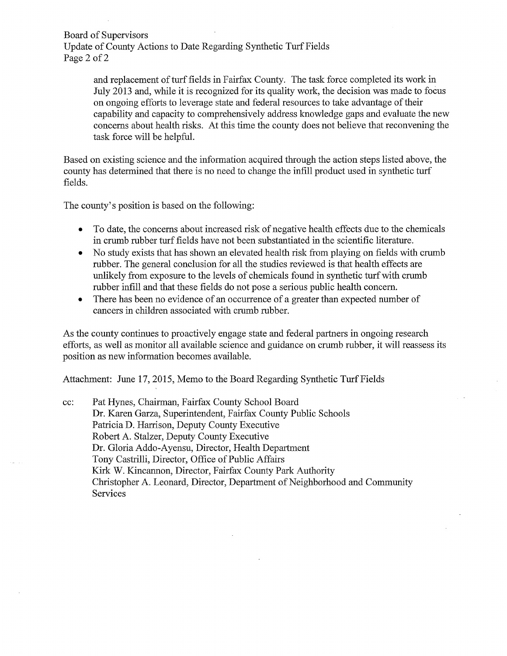Board of Supervisors

Update of County Actions to Date Regarding Synthetic Turf Fields Page 2 of 2

> and replacement of turf fields in Fairfax County. The task force completed its work in July 2013 and, while it is recognized for its quality work, the decision was made to focus on ongoing efforts to leverage state and federal resources to take advantage of their capability and capacity to comprehensively address knowledge gaps and evaluate the new concerns about health risks. At this time the county does not believe that reconvening the task force will be helpful.

Based on existing science and the information acquired through the action steps listed above, the county has determined that there is no need to change the infill product used in synthetic turf fields.

The county's position is based on the following:

- To date, the concerns about increased risk of negative health effects due to the chemicals in crumb rubber turf fields have not been substantiated in the scientific literature.
- No study exists that has shown an elevated health risk from playing on fields with crumb rubber. The general conclusion for all the studies reviewed is that health effects are unlikely from exposure to the levels of chemicals found in synthetic turf with crumb rubber infill and that these fields do not pose a serious public health concern.
- There has been no evidence of an occurrence of a greater than expected number of cancers in children associated with crumb rubber.

As the county continues to proactively engage state and federal partners in ongoing research efforts, as well as monitor all available science and guidance on crumb rubber, it will reassess its position as new information becomes available.

Attachment: June 17, 2015, Memo to the Board Regarding Synthetic Turf Fields

cc: Pat Hynes, Chairman, Fairfax County School Board Dr. Karen Garza, Superintendent, Fairfax County Public Schools Patricia D. Harrison, Deputy County Executive Robert A. Stalzer, Deputy County Executive Dr. Gloria Addo-Ayensu, Director, Health Department Tony Castrilli, Director, Office of Public Affairs Kirk W. Kincannon, Director, Fairfax County Park Authority Christopher A. Leonard, Director, Department of Neighborhood and Community Services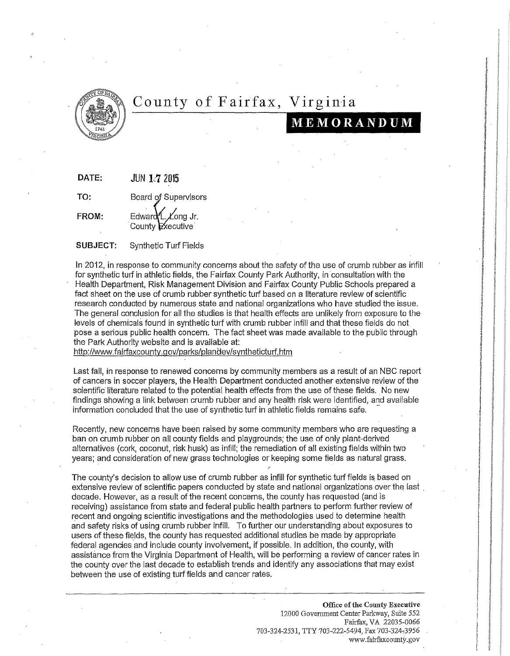

## County of Fairfax, ginia **di provincia di provincia di provincia di provincia di provincia di provincia di provincia di provincia di p**

## **MEMORANDUM**

i ~ ~ ~ **REMARKS Internet** 

**to the second of the contract of the contract of the contract of the contract of the contract of the contract o** 

**Ekans** j the state and the l in Alberta.<br>Ngjarje ~ **interactions** ~ lisande. ~ **International According INVESTIGATION** 

×. ~ ·<br>I | Clark (Clark (Clark (Clark)<br>I The Clark (Clark (Clark) (Clark (Clark)

Q.

'' Granel

**instru** 

!

**LETHRICIAN** 

la alta della componenta di un alta della componenta di un alta della componenta di un alta della componenta d<br>La componenta di un alta della componenta di un alta della componenta di un alta della componenta di un alta d

**WWW** !

!

**DATE:** JUN 1~7 2015

TO: Board of Supervisors

 $FROM:$  Edward  $\Lambda$ . Long Jr. County Executive

**SUBJECT:** Synthetic Turf Fields

In 2012, in response to community concerns about the safety of the use of crumb rubber as infill for synthetic turf in athletic fields, the Fairfax County Park Authority, in consultation with the Health Department, Risk Management Division and Fairfax County Public Schools prepared a fact sheet on the use of crumb rubber synthetic turf based on a literature review of scientific research conducted by numerous state and national organizations who have studied the issue. The general conclusion for all the studies is that health effects are unlikely from exposure to the levels of chemicals found in synthetic turf with crumb rubber infill and that these fields do not pose a serious public health concern. The fact sheet was made available to the public through the Park Authority website and is available at:

http://www. fairfaxcounty.g ov/parks/plandev/syntheticturf.htm j

Last fall, in response to renewed concerns by community members as a result of an NBC report of cancers in soccer players, the Health Department conducted another extensive review of the l scientific literature related to the potential health effects from the use of these fields. No new findings showing a link between crumb rubber and any health risk were identified, and available information concluded that the use of synthetic turf in athletic fields remains safe.

Recently, new concerns have been raised by some community members who are requesting a ban on crumb rubber on all county fields and playgrounds; the use of only plant-derived alternatives (cork, coconut, risk husk) as infill; the remediation of all existing fields within two years; and consideration of new grass technologies or keeping some fields as natural grass.

The county's decision to allow use of crumb rubber as infill for synthetic turf fields is based on extensive review of scientific papers conducted by state and national organizations over the last. decade. However, as a result of the recent concerns, the county has requested (and is receiving) assistance from state and federal public health partners to perform further review of recent and ongoing scientific investigations and the methodologies used to determine health and safety risks of using crumb rubber infill. To further our understanding about exposures to users of these fields, the county has requested additional studies be made by appropriate federal agencies and include county involvement, if possible. In addition, the county, with assistance from the Virginia Department of Health, will be performing a review of cancer rates in the county over the last decade to establish trends and identify any associations that may exist between the use of existing turf fields and cancer rates.

> Office of the County Executive 12000 Government Center Parkway, Suite 552 Fairfax, VA 22035-0066 703-324-2531, TTY 703-222-5494, Fax 703-324-3956 www.fairfaxcounty.gov